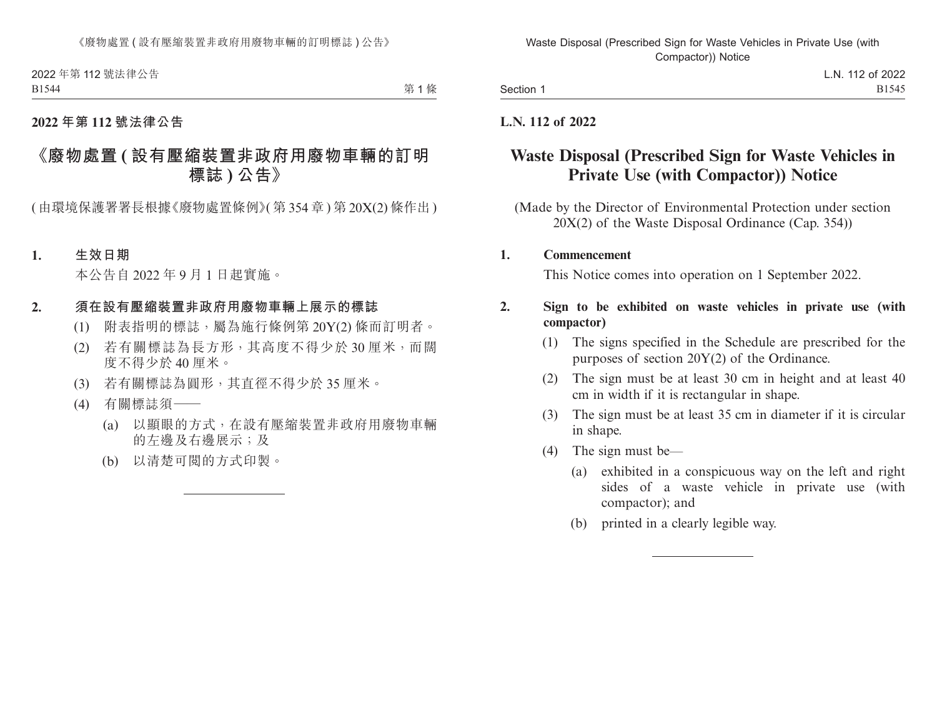2022 年第 112 號法律公告 B1544

第1條

### **2022 年第 112 號法律公告**

# **《廢物處置 ( 設有壓縮裝置非政府用廢物車輛的訂明 標誌 ) 公告》**

( 由環境保護署署長根據《廢物處置條例》( 第 354 章 ) 第 20X(2) 條作出 )

#### **1. 生效日期**

本公告自 2022 年 9 月 1 日起實施。

#### **2. 須在設有壓縮裝置非政府用廢物車輛上展示的標誌**

- (1) 附表指明的標誌,屬為施行條例第 20Y(2) 條而訂明者。
- (2) 若有關標誌為長方形,其高度不得少於 30 厘米,而闊 度不得少於 40 厘米。
- (3) 若有關標誌為圓形,其直徑不得少於 35 厘米。
- (4) 有關標誌須——
	- (a) 以顯眼的方式,在設有壓縮裝置非政府用廢物車輛 的左邊及右邊展示;及
	- (b) 以清楚可閱的方式印製。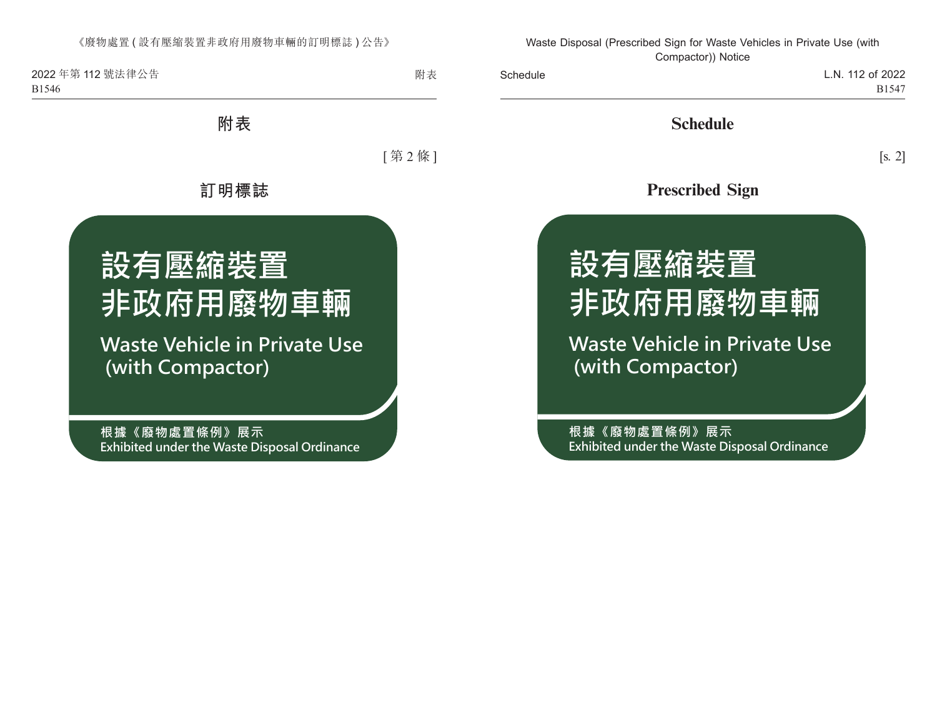《廢物處置 ( 設有壓縮裝置非政府用廢物車輛的訂明標誌 ) 公告》

2022 年第 112 號法律公告 B1546

附表

**附表**

[ 第 2 條 ]

## **訂明標誌**



**根據《廢物處置條例》展示 Exhibited under the Waste Disposal Ordinance**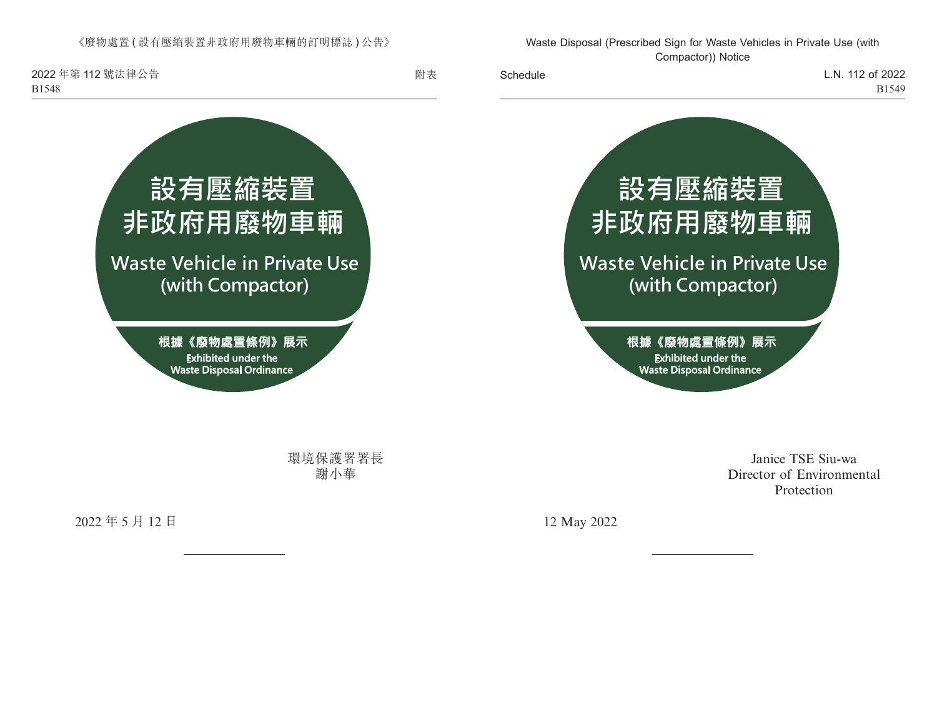《廢物處置 ( 設有壓縮裝置非政府用廢物車輛的訂明標誌 ) 公告》

2022 年第 112 號法律公告 B1548



環境保護署署長 謝小華

2022 年 5 月 12 日